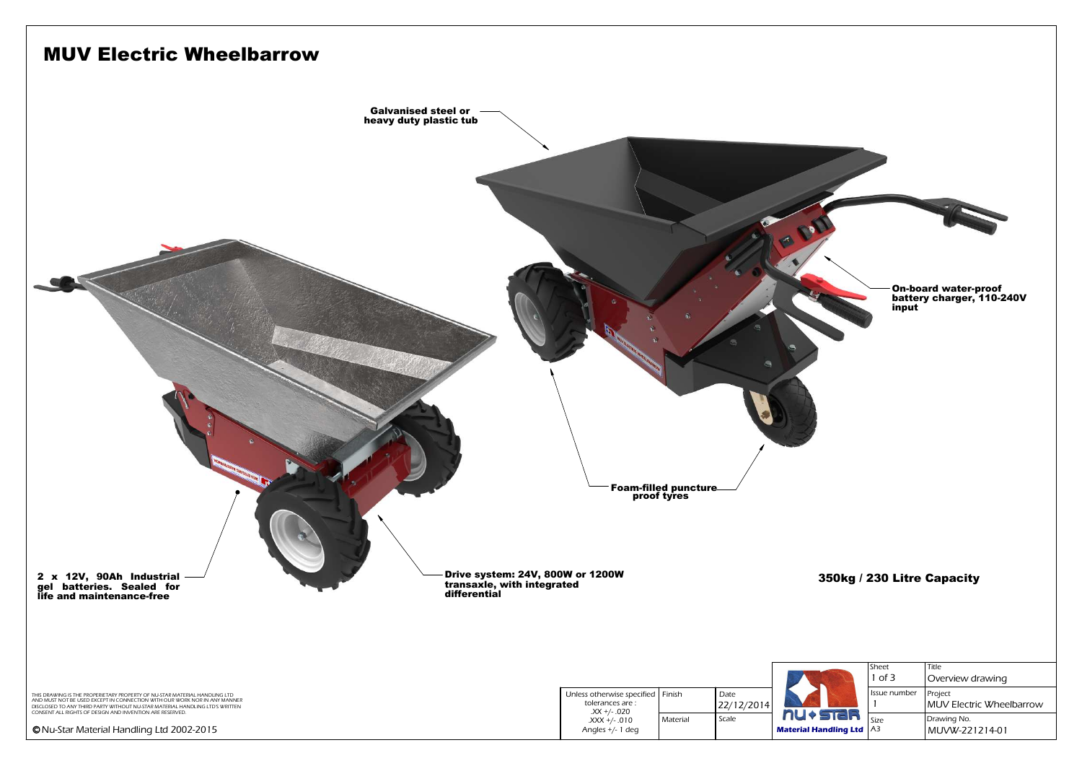

|              | Sheet        | Title                               |
|--------------|--------------|-------------------------------------|
|              | $1$ of $3$   | Overview drawing                    |
|              | Issue number | Project<br>MUV Electric Wheelbarrow |
| <b>STEIR</b> | Size         | Drawing No.                         |
| ndling Ltd   | A3           | MUVW-221214-01                      |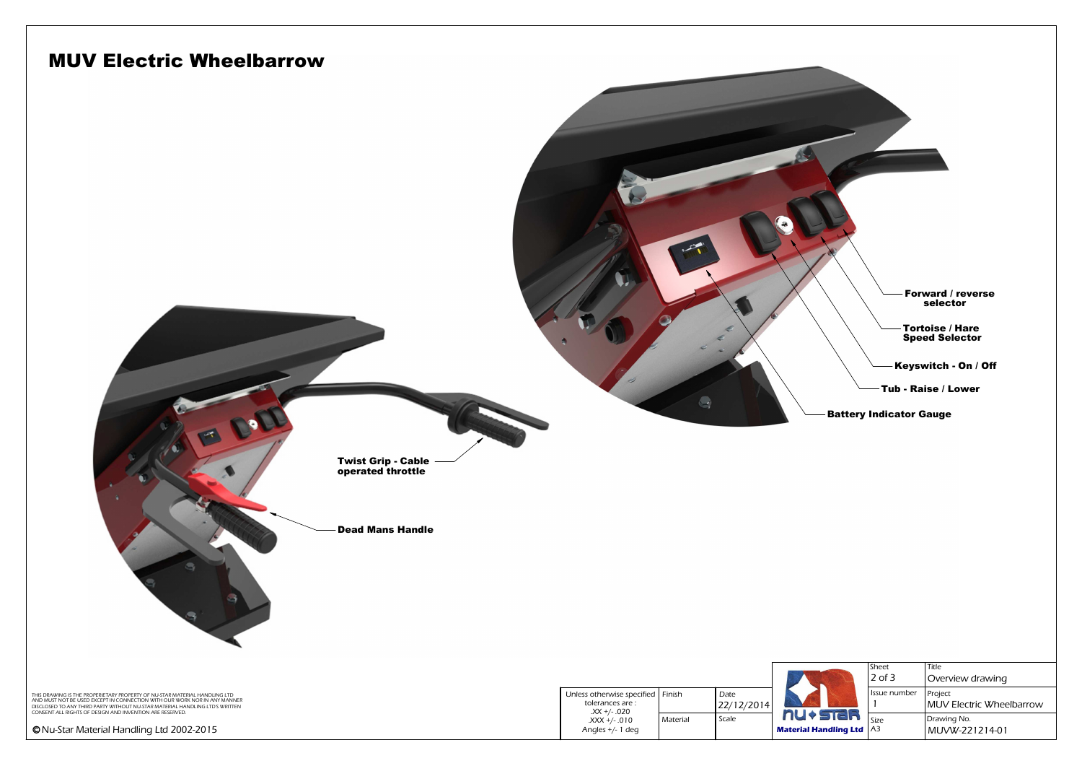

| <b>STEL</b><br><b>Indling Ltd</b> | Sheet<br>$2$ of $3$ | Title<br>Overview drawing                  |
|-----------------------------------|---------------------|--------------------------------------------|
|                                   | Issue number        | <b>Project</b><br>MUV Electric Wheelbarrow |
|                                   | Size<br>A3          | Drawing No.<br>MUVW-221214-01              |